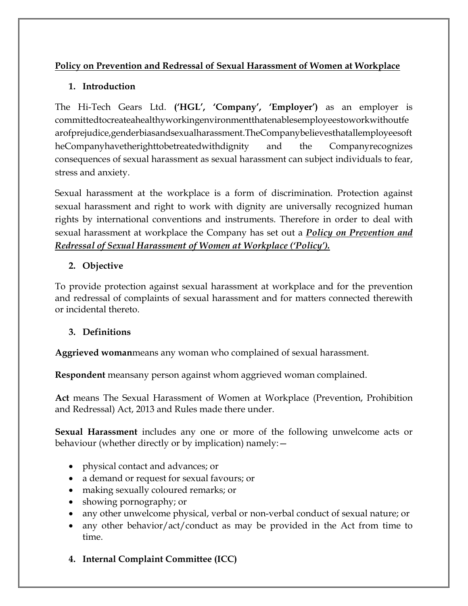# **Policy on Prevention and Redressal of Sexual Harassment of Women at Workplace**

### **1. Introduction**

The Hi-Tech Gears Ltd. **('HGL', 'Company', 'Employer')** as an employer is committedtocreateahealthyworkingenvironmentthatenablesemployeestoworkwithoutfe arofprejudice,genderbiasandsexualharassment.TheCompanybelievesthatallemployeesoft heCompanyhavetherighttobetreatedwithdignity and the Companyrecognizes consequences of sexual harassment as sexual harassment can subject individuals to fear, stress and anxiety.

Sexual harassment at the workplace is a form of discrimination. Protection against sexual harassment and right to work with dignity are universally recognized human rights by international conventions and instruments. Therefore in order to deal with sexual harassment at workplace the Company has set out a *Policy on Prevention and Redressal of Sexual Harassment of Women at Workplace ('Policy').*

### **2. Objective**

To provide protection against sexual harassment at workplace and for the prevention and redressal of complaints of sexual harassment and for matters connected therewith or incidental thereto.

# **3. Definitions**

**Aggrieved woman**means any woman who complained of sexual harassment.

**Respondent** meansany person against whom aggrieved woman complained.

**Act** means The Sexual Harassment of Women at Workplace (Prevention, Prohibition and Redressal) Act, 2013 and Rules made there under.

**Sexual Harassment** includes any one or more of the following unwelcome acts or behaviour (whether directly or by implication) namely:—

- physical contact and advances; or
- a demand or request for sexual favours; or
- making sexually coloured remarks; or
- showing pornography; or
- any other unwelcome physical, verbal or non-verbal conduct of sexual nature; or
- any other behavior/act/conduct as may be provided in the Act from time to time.
- **4. Internal Complaint Committee (ICC)**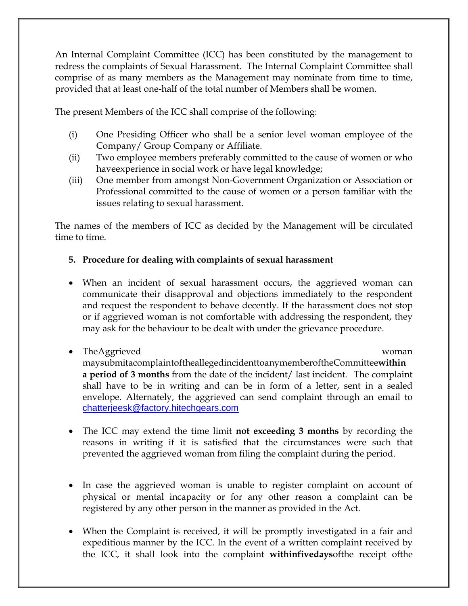An Internal Complaint Committee (ICC) has been constituted by the management to redress the complaints of Sexual Harassment. The Internal Complaint Committee shall comprise of as many members as the Management may nominate from time to time, provided that at least one-half of the total number of Members shall be women.

The present Members of the ICC shall comprise of the following:

- (i) One Presiding Officer who shall be a senior level woman employee of the Company/ Group Company or Affiliate.
- (ii) Two employee members preferably committed to the cause of women or who haveexperience in social work or have legal knowledge;
- (iii) One member from amongst Non-Government Organization or Association or Professional committed to the cause of women or a person familiar with the issues relating to sexual harassment.

The names of the members of ICC as decided by the Management will be circulated time to time.

### **5. Procedure for dealing with complaints of sexual harassment**

- When an incident of sexual harassment occurs, the aggrieved woman can communicate their disapproval and objections immediately to the respondent and request the respondent to behave decently. If the harassment does not stop or if aggrieved woman is not comfortable with addressing the respondent, they may ask for the behaviour to be dealt with under the grievance procedure.
- TheAggrieved woman maysubmitacomplaintoftheallegedincidenttoanymemberoftheCommittee**within a period of 3 months** from the date of the incident/ last incident. The complaint shall have to be in writing and can be in form of a letter, sent in a sealed envelope. Alternately, the aggrieved can send complaint through an email to [chatterjeesk@factory.hitechgears.com](mailto:chatterjeesk@factory.hitechgears.com)
- The ICC may extend the time limit **not exceeding 3 months** by recording the reasons in writing if it is satisfied that the circumstances were such that prevented the aggrieved woman from filing the complaint during the period.
- In case the aggrieved woman is unable to register complaint on account of physical or mental incapacity or for any other reason a complaint can be registered by any other person in the manner as provided in the Act.
- When the Complaint is received, it will be promptly investigated in a fair and expeditious manner by the ICC. In the event of a written complaint received by the ICC, it shall look into the complaint **withinfivedays**ofthe receipt ofthe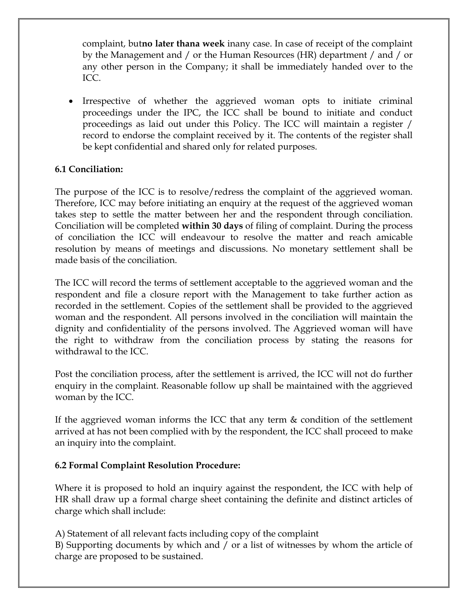complaint, but**no later thana week** inany case. In case of receipt of the complaint by the Management and / or the Human Resources (HR) department / and / or any other person in the Company; it shall be immediately handed over to the ICC.

• Irrespective of whether the aggrieved woman opts to initiate criminal proceedings under the IPC, the ICC shall be bound to initiate and conduct proceedings as laid out under this Policy. The ICC will maintain a register / record to endorse the complaint received by it. The contents of the register shall be kept confidential and shared only for related purposes.

### **6.1 Conciliation:**

The purpose of the ICC is to resolve/redress the complaint of the aggrieved woman. Therefore, ICC may before initiating an enquiry at the request of the aggrieved woman takes step to settle the matter between her and the respondent through conciliation. Conciliation will be completed **within 30 days** of filing of complaint. During the process of conciliation the ICC will endeavour to resolve the matter and reach amicable resolution by means of meetings and discussions. No monetary settlement shall be made basis of the conciliation.

The ICC will record the terms of settlement acceptable to the aggrieved woman and the respondent and file a closure report with the Management to take further action as recorded in the settlement. Copies of the settlement shall be provided to the aggrieved woman and the respondent. All persons involved in the conciliation will maintain the dignity and confidentiality of the persons involved. The Aggrieved woman will have the right to withdraw from the conciliation process by stating the reasons for withdrawal to the ICC.

Post the conciliation process, after the settlement is arrived, the ICC will not do further enquiry in the complaint. Reasonable follow up shall be maintained with the aggrieved woman by the ICC.

If the aggrieved woman informs the ICC that any term  $\&$  condition of the settlement arrived at has not been complied with by the respondent, the ICC shall proceed to make an inquiry into the complaint.

#### **6.2 Formal Complaint Resolution Procedure:**

Where it is proposed to hold an inquiry against the respondent, the ICC with help of HR shall draw up a formal charge sheet containing the definite and distinct articles of charge which shall include:

A) Statement of all relevant facts including copy of the complaint

B) Supporting documents by which and / or a list of witnesses by whom the article of charge are proposed to be sustained.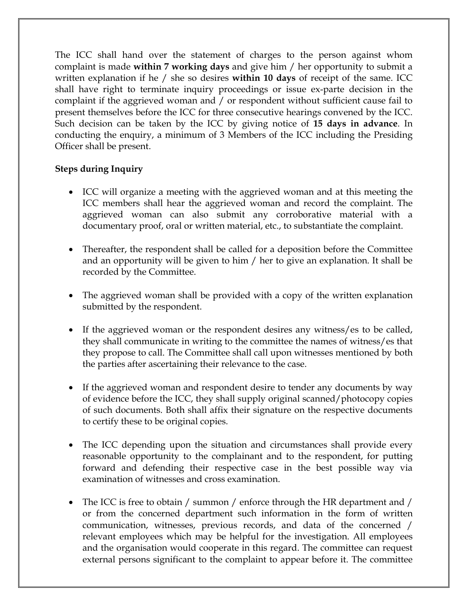The ICC shall hand over the statement of charges to the person against whom complaint is made **within 7 working days** and give him / her opportunity to submit a written explanation if he / she so desires **within 10 days** of receipt of the same. ICC shall have right to terminate inquiry proceedings or issue ex-parte decision in the complaint if the aggrieved woman and / or respondent without sufficient cause fail to present themselves before the ICC for three consecutive hearings convened by the ICC. Such decision can be taken by the ICC by giving notice of **15 days in advance**. In conducting the enquiry, a minimum of 3 Members of the ICC including the Presiding Officer shall be present.

### **Steps during Inquiry**

- ICC will organize a meeting with the aggrieved woman and at this meeting the ICC members shall hear the aggrieved woman and record the complaint. The aggrieved woman can also submit any corroborative material with a documentary proof, oral or written material, etc., to substantiate the complaint.
- Thereafter, the respondent shall be called for a deposition before the Committee and an opportunity will be given to him / her to give an explanation. It shall be recorded by the Committee.
- The aggrieved woman shall be provided with a copy of the written explanation submitted by the respondent.
- If the aggrieved woman or the respondent desires any witness/es to be called, they shall communicate in writing to the committee the names of witness/es that they propose to call. The Committee shall call upon witnesses mentioned by both the parties after ascertaining their relevance to the case.
- If the aggrieved woman and respondent desire to tender any documents by way of evidence before the ICC, they shall supply original scanned/photocopy copies of such documents. Both shall affix their signature on the respective documents to certify these to be original copies.
- The ICC depending upon the situation and circumstances shall provide every reasonable opportunity to the complainant and to the respondent, for putting forward and defending their respective case in the best possible way via examination of witnesses and cross examination.
- The ICC is free to obtain / summon / enforce through the HR department and / or from the concerned department such information in the form of written communication, witnesses, previous records, and data of the concerned / relevant employees which may be helpful for the investigation. All employees and the organisation would cooperate in this regard. The committee can request external persons significant to the complaint to appear before it. The committee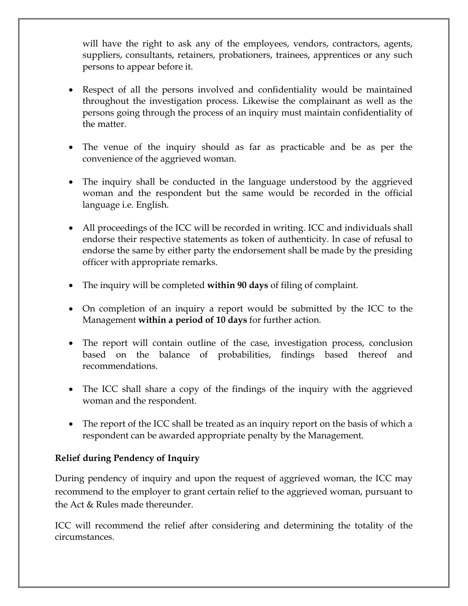will have the right to ask any of the employees, vendors, contractors, agents, suppliers, consultants, retainers, probationers, trainees, apprentices or any such persons to appear before it.

- Respect of all the persons involved and confidentiality would be maintained throughout the investigation process. Likewise the complainant as well as the persons going through the process of an inquiry must maintain confidentiality of the matter.
- The venue of the inquiry should as far as practicable and be as per the convenience of the aggrieved woman.
- The inquiry shall be conducted in the language understood by the aggrieved woman and the respondent but the same would be recorded in the official language i.e. English.
- All proceedings of the ICC will be recorded in writing. ICC and individuals shall endorse their respective statements as token of authenticity. In case of refusal to endorse the same by either party the endorsement shall be made by the presiding officer with appropriate remarks.
- The inquiry will be completed **within 90 days** of filing of complaint.
- On completion of an inquiry a report would be submitted by the ICC to the Management **within a period of 10 days** for further action.
- The report will contain outline of the case, investigation process, conclusion based on the balance of probabilities, findings based thereof and recommendations.
- The ICC shall share a copy of the findings of the inquiry with the aggrieved woman and the respondent.
- The report of the ICC shall be treated as an inquiry report on the basis of which a respondent can be awarded appropriate penalty by the Management.

# **Relief during Pendency of Inquiry**

During pendency of inquiry and upon the request of aggrieved woman, the ICC may recommend to the employer to grant certain relief to the aggrieved woman, pursuant to the Act & Rules made thereunder.

ICC will recommend the relief after considering and determining the totality of the circumstances.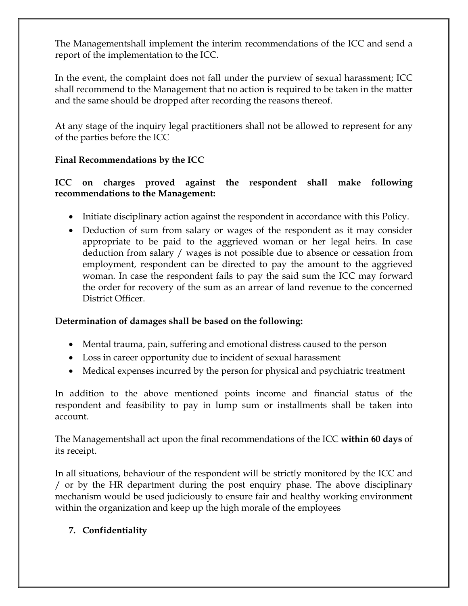The Managementshall implement the interim recommendations of the ICC and send a report of the implementation to the ICC.

In the event, the complaint does not fall under the purview of sexual harassment; ICC shall recommend to the Management that no action is required to be taken in the matter and the same should be dropped after recording the reasons thereof.

At any stage of the inquiry legal practitioners shall not be allowed to represent for any of the parties before the ICC

# **Final Recommendations by the ICC**

## **ICC on charges proved against the respondent shall make following recommendations to the Management:**

- Initiate disciplinary action against the respondent in accordance with this Policy.
- Deduction of sum from salary or wages of the respondent as it may consider appropriate to be paid to the aggrieved woman or her legal heirs. In case deduction from salary / wages is not possible due to absence or cessation from employment, respondent can be directed to pay the amount to the aggrieved woman. In case the respondent fails to pay the said sum the ICC may forward the order for recovery of the sum as an arrear of land revenue to the concerned District Officer.

#### **Determination of damages shall be based on the following:**

- Mental trauma, pain, suffering and emotional distress caused to the person
- Loss in career opportunity due to incident of sexual harassment
- Medical expenses incurred by the person for physical and psychiatric treatment

In addition to the above mentioned points income and financial status of the respondent and feasibility to pay in lump sum or installments shall be taken into account.

The Managementshall act upon the final recommendations of the ICC **within 60 days** of its receipt.

In all situations, behaviour of the respondent will be strictly monitored by the ICC and / or by the HR department during the post enquiry phase. The above disciplinary mechanism would be used judiciously to ensure fair and healthy working environment within the organization and keep up the high morale of the employees

# **7. Confidentiality**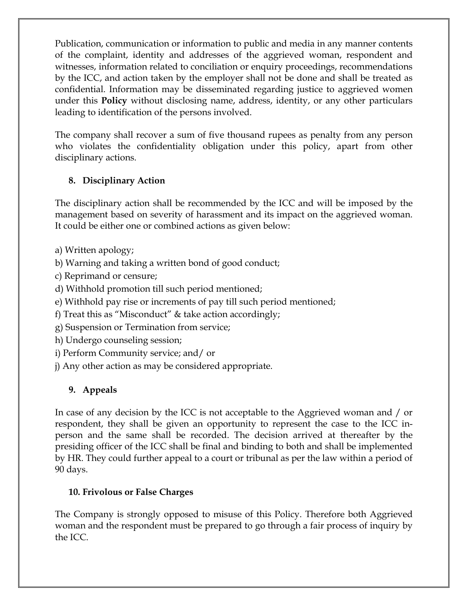Publication, communication or information to public and media in any manner contents of the complaint, identity and addresses of the aggrieved woman, respondent and witnesses, information related to conciliation or enquiry proceedings, recommendations by the ICC, and action taken by the employer shall not be done and shall be treated as confidential. Information may be disseminated regarding justice to aggrieved women under this **Policy** without disclosing name, address, identity, or any other particulars leading to identification of the persons involved.

The company shall recover a sum of five thousand rupees as penalty from any person who violates the confidentiality obligation under this policy, apart from other disciplinary actions.

# **8. Disciplinary Action**

The disciplinary action shall be recommended by the ICC and will be imposed by the management based on severity of harassment and its impact on the aggrieved woman. It could be either one or combined actions as given below:

- a) Written apology;
- b) Warning and taking a written bond of good conduct;
- c) Reprimand or censure;
- d) Withhold promotion till such period mentioned;
- e) Withhold pay rise or increments of pay till such period mentioned;
- f) Treat this as "Misconduct" & take action accordingly;
- g) Suspension or Termination from service;
- h) Undergo counseling session;
- i) Perform Community service; and/ or
- j) Any other action as may be considered appropriate.

# **9. Appeals**

In case of any decision by the ICC is not acceptable to the Aggrieved woman and / or respondent, they shall be given an opportunity to represent the case to the ICC inperson and the same shall be recorded. The decision arrived at thereafter by the presiding officer of the ICC shall be final and binding to both and shall be implemented by HR. They could further appeal to a court or tribunal as per the law within a period of 90 days.

# **10. Frivolous or False Charges**

The Company is strongly opposed to misuse of this Policy. Therefore both Aggrieved woman and the respondent must be prepared to go through a fair process of inquiry by the ICC.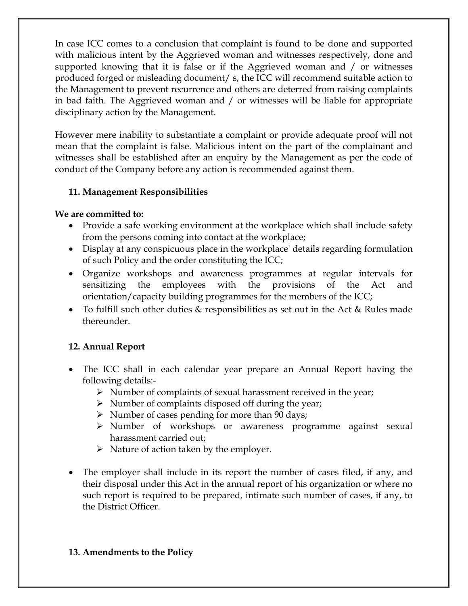In case ICC comes to a conclusion that complaint is found to be done and supported with malicious intent by the Aggrieved woman and witnesses respectively, done and supported knowing that it is false or if the Aggrieved woman and / or witnesses produced forged or misleading document/ s, the ICC will recommend suitable action to the Management to prevent recurrence and others are deterred from raising complaints in bad faith. The Aggrieved woman and / or witnesses will be liable for appropriate disciplinary action by the Management.

However mere inability to substantiate a complaint or provide adequate proof will not mean that the complaint is false. Malicious intent on the part of the complainant and witnesses shall be established after an enquiry by the Management as per the code of conduct of the Company before any action is recommended against them.

### **11. Management Responsibilities**

#### **We are committed to:**

- Provide a safe working environment at the workplace which shall include safety from the persons coming into contact at the workplace;
- Display at any conspicuous place in the workplace' details regarding formulation of such Policy and the order constituting the ICC;
- Organize workshops and awareness programmes at regular intervals for sensitizing the employees with the provisions of the Act and orientation/capacity building programmes for the members of the ICC;
- To fulfill such other duties & responsibilities as set out in the Act & Rules made thereunder.

#### **12. Annual Report**

- The ICC shall in each calendar year prepare an Annual Report having the following details:-
	- $\triangleright$  Number of complaints of sexual harassment received in the year;
	- $\triangleright$  Number of complaints disposed off during the year;
	- $\triangleright$  Number of cases pending for more than 90 days;
	- Number of workshops or awareness programme against sexual harassment carried out;
	- $\triangleright$  Nature of action taken by the employer.
- The employer shall include in its report the number of cases filed, if any, and their disposal under this Act in the annual report of his organization or where no such report is required to be prepared, intimate such number of cases, if any, to the District Officer.

#### **13. Amendments to the Policy**